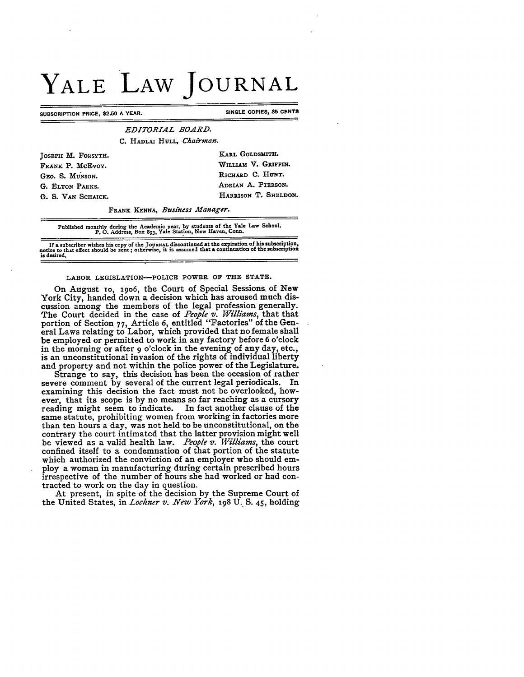# YALE LAW **JOURNAL**

**SUBSCRIPTION PRICE, \$2.50 A YEAR. SINGLE COPIES, 85 CENT8**

# *EDITORIAL BOARD.* **C. HADLAI HULL,** *Chairman.*

**JOSEPH M. FORSYTH. KARL GOLDSMITH.** GEO. S. MUNSON.

**FRANK P. MCEVOY.** WILLIAM V. GRIFFIN.<br>Gyo S. Munson G. ELTON PARKS. ADRIAN A. PIERSON. G. S. VAN SCHAICK. **HARRISON T. SHELDON.** 

#### **FRANK KENNA,** *Business Manager.*

**Published monthly during the Academic year. by students of the Yale Law School. P. 0. Address, Box 893, Yale Station, New Haven, Conn.**

If a subscriber wishes his copy of the Journal discontinued at the expiration of his subscription,<br>notice to that effect should be sent; otherwise, it is assumed that a continuation of the subscription<br>is desired.

#### **LABOR LEGISLATION-POLICE POWER OF THE STATE.**

On August io, **19o6,** the Court of Special Sessions. of New York City, handed down a decision which has aroused much discussion among the members of the legal profession generally. The Court decided in the case of *People v. Williams,* that that portion of Section **77,** Article **6,** entitled "Factories" of the General Laws relating to Labor, which provided that no female shall be employed or permitted to work in any factory before **6** o'clock in the morning or after **9** o'clock in the evening of any day, etc., is an unconstitutional invasion of the rights of individual liberty and property and not within the police power of the Legislature.

Strange to say, this decision has been the occasion of rather severe comment **by** several of the current legal periodicals. In examining this decision the fact must not be overlooked, however, that its scope is **by** no means so far reaching as a cursory reading might seem to indicate. same statute, prohibiting women from working in factories more than ten hours a day, was not held to be unconstitutional, on the contrary the court intimated that the latter provision might well be viewed as a valid health law. *People v. Williams,* the court confined itself to a condemnation of that portion of the statute which authorized the conviction of an employer who should employ a woman in manufacturing during certain prescribed hours irrespective of the number of hours she had worked or had contracted to work on the day in question.

At present, in spite of the decision **by** the Supreme Court of the United States, in *Lochner v. New York,* **198 U. S. 45,** holding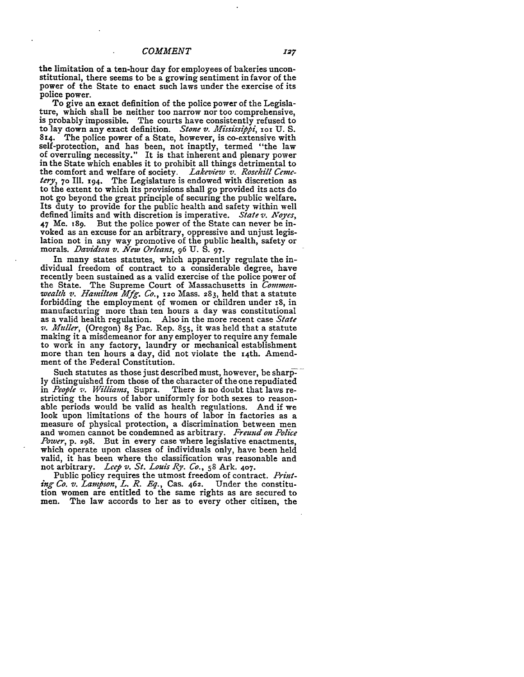the limitation of a ten-hour day for employees of bakeries unconstitutional, there seems to be a growing sentiment in favor of the power of the State to enact such laws under the exercise of its police power.

To give an exact definition of the police power of the Legislature, which shall be neither too narrow nor too comprehensive, is probably impossible. The courts have consistently refused to to lay down any exact definition. Stone v. Mississippi, *ioi* U. S. **814.** The police power of a State, however, is co-extensive with self-protection, and has been, not inaptly, termed "the law of overruling necessity." It is that inherent and plenary power in the State which enables it to prohibit all things detrimental to the comfort and welfare of society. *Lakeview v. Rosehill Cemetery,* **70 Ill.** 194. The Legislature is endowed with discretion as to the extent to which its provisions shall go provided its acts do not go beyond the great principle of securing the public welfare. Its duty to provide for the public health and safety within well defined limits and with discretion is imperative. *State v. Noyes,* 47 Me. 189. But the police power of the State can never be invoked as an excuse for an arbitrary, oppressive and unjust legislation not in any way promotive of the public health, safety or morals. *Davidson v. New Orleans, 96* U. S. 97.

In many states statutes, which apparently regulate the individual freedom of contract to a considerable degree, have recently been sustained as a valid exercise of the police power of the State. The Supreme Court of Massachusetts in *Commonwealth v. Hamilton Mfg. Co.,* **120** Mass. **283,** held that a statute forbidding the employment of women or children under 18, in manufacturing more than ten hours a day was constitutional as a valid health regulation. Also in the more recent case *State v. Huller,* (Oregon) **85** Pac. Rep. 855, it was held that a statute making it a misdemeanor for any employer to require any female to work in any factory, laundry or mechanical establishment more than ten hours a day, did not violate the 14th. Amendment of the Federal Constitution.

Such statutes as those just described must, however, be sharply distinguished from those of the character of the one repudiated in *People v. Williams,* Supra. There is no doubt that laws restricting the hours of labor uniformly for both sexes to reasonable periods would be valid as health regulations. And if we look upon limitations of the hours of labor in factories as a measure of physical protection, a discrimination between men and women cannot be condemned as arbitrary. *Freund on Police Power,* **p. 298.** But in every case where legislative enactments, which operate upon classes of individuals only, have been held valid, it has been where the classification was reasonable and not arbitrary. *Leep v. St. Louis Ry. Co.,* **58** Ark. 407.

Public policy requires the utmost freedom of contract. *Printing Co. v. Lampson, L. R. Eq.,* Cas. **462.** Under the constitution women are entitled to the same rights as are secured to men. The law accords to her as to every other citizen, the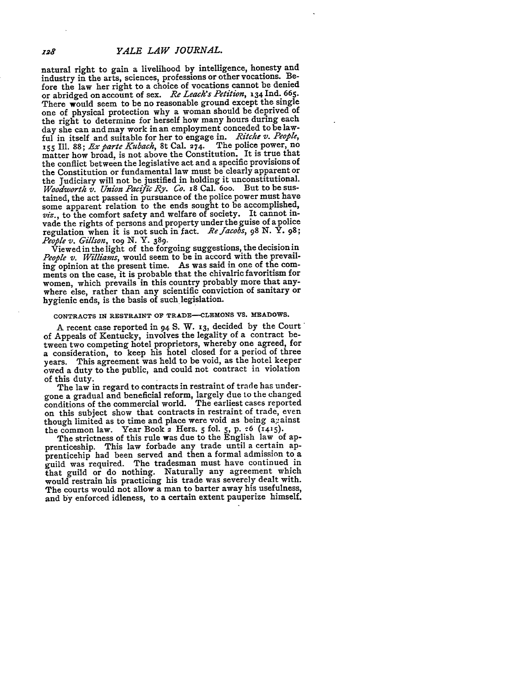natural right to gain a livelihood **by** intelligence, honesty and industry in the arts, sciences, professions or other vocations. Before the law her right to a choice of vocations cannot be denied or abridged on account of sex. *Re Leack's Petition,* **134 Ind. 665.** There would seem to be no reasonable ground except the single one of physical protection why a woman should be deprived of the right to determine for herself how many hours during each day she can and may work in an employment conceded to be lawful in itself and suitable for her to engage in. *Ritche v. People, z55 Ill. 88; Ex parte Kubach, 8t Cal. 274.* matter how broad, is not above the Constitution. It is true that the conflict between the legislative act and a specific provisions of the Constitution or fundamental law must be clearly apparent or the Judiciary will not be justified in holding it unconstitutional. *Woodworth v. Union Pacific Ry. Co.* **38** Cal. 6oo. But to be sustained, the act passed in pursuance of the police power must have some apparent relation to the ends sought to be accomplished, *viz.,* to the comfort safety and welfare of society. It cannot invade the rights of persons and property under the guise of a police regulation when it is not such in fact. *ReJacobs,* 98 N. Y. **98;** *People v. Gillson, 1o9* **N. Y.** 389.

Viewed in the light of the forgoing suggestions, the decision in *People v. Williams,* would seem to be in accord with the prevailing opinion at the present time. As was said in one of the comments on the case, it is probable that the chivalric favoritism for women, which prevails in this country probably more that anywhere else, rather than any scientific conviction of sanitary or hygienic ends, is the basis of such legislation.

# **CONTRACTS IN RESTRAINT OF TRADE-CLBMONS VS.** MEADOWS.

**A** recent case reported in 94 **S.** W. **13,** decided **by** the Court' of Appeals of Kentucky, involves the legality of a contract between two competing hotel proprietors, whereby one agreed, for a consideration, to keep his hotel closed for a period of three years. This agreement was held to be void, as the hotel keeper owed a duty to the public, and could not contract in violation of this duty.

The law in regard to contracts in restraint of trade has undergone a gradual and beneficial reform, largely due to the changed conditions of the commercial world. The earliest cases reported on this subject show that contracts in restraint of trade, even though limited as to time and place were void as being against the common law. Year Book 2 Hers. **5** fol. **5,** p. **-6** (1415).

The strictness of this rule was due to the English law of apprenticeship. This law forbade any trade until a certain apprenticehip had been served and then a formal admission to a guild was required. The tradesman must have continued in that guild or do nothing. Naturally any agreement which would restrain his practicing his trade was severely dealt with. The courts would not allow a man to barter away his usefulness, and **by** enforced idleness, to a certain extent pauperize himself.

128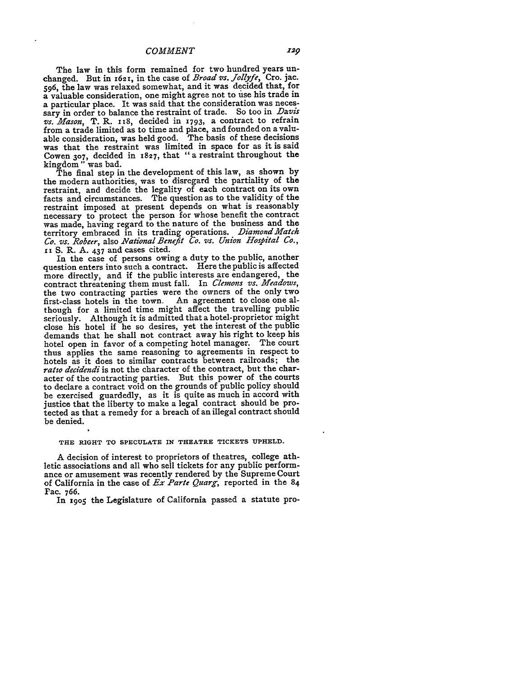### *COMMENT*

The law in this form remained for two hundred years unchanged. But in **1621,** in the case of *Broad vs. Jollyfe,* Cro. jac. **596,** the law was relaxed somewhat, and it was decided that, for a valuable consideration, one might agree not to use his trade in a particular place. It was said that the consideration was necessary in order to balance the restraint of trade. So too in *Davis vs. Mason,* T. R. **i** t8, decided in **1793,** a contract to refrain from a trade limited as to time and place, and founded on a valuable consideration, was held good. The basis of these decisions was that the restraint was limited in space for as it is said Cowen **307,** decided in **1827,** that "a restraint throughout the kingdom" was bad.

The final step in the development of this law, as shown by the modern authorities, was to disregard the partiality of the restraint, and decide the legality of each contract on its own facts and circumstances. The question as to the validity of the restraint imposed at present depends on what is reasonably necessary to protect the person for whose benefit the contract was made, having regard to the nature of the business and the territory embraced in its trading operations. *Diamond Match Co. vs. Robeer,* also *National Benefit Co. vs. Union Hospital Co.,* **<sup>i</sup>**S. R. A. 437 and cases cited.

In the case of persons owing a duty to the public, another question enters into such a contract. Here the public is affected more directly, and if the public interests are endangered, the contract threatening them must fall. In *Clemons vs. Meadows,* the two contracting parties were the owners of the only two first-class hotels in the town. An agreement to close one although for a limited time might affect the travelling public seriously. Although it is admitted that a hotel-proprietor might close his hotel if he so desires, yet the interest of the public demands that he shall not contract away his right to keep his hotel open in favor of a competing hotel manager. The court thus applies the same reasoning to agreements in respect to hotels as it does to similar contracts between railroads; the *ratio decidendi* is not the character of the contract, but the character of the contracting parties. But this power of the courts to declare a contract void on the grounds of public policy should be exercised guardedly, as it is quite as much in accord with justice that the liberty to make a legal contract should be protected as that a remedy for a breach of an illegal contract should be denied.

#### **THE** RIGHT **TO SPECULATE IN THEATRE TICKETS UPHELD.**

A decision of interest to proprietors of theatres, college athletic associations and all who sell tickets for any public performance or amusement was recently rendered by the Supreme Court of California in the case of *Ex Parte Quarg,* reported in the 84 Pac. **766.**

In **1905** the Legislature of California passed a statute pro-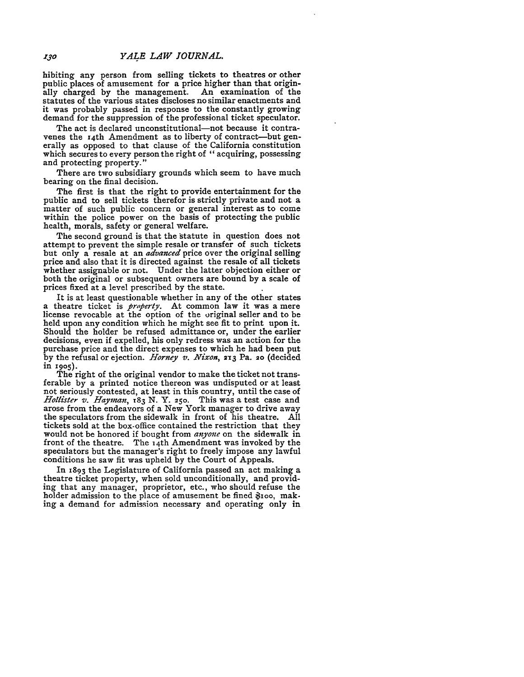hibiting any person from selling tickets to theatres or other public places of amusement for a price higher than that originally charged by the management. An examination of the ally charged by the management. statutes of the various states discloses no similar enactments and it was probably passed in response to the constantly growing demand for the suppression of the professional ticket speculator.

The act is declared unconstitutional—not because it contravenes the 14th Amendment as to liberty of contract-but generally as opposed to that clause of the California constitution which secures to every person the right of "acquiring, possessing and protecting property."

There are two subsidiary grounds which seem to have much bearing on the final decision.

The first is that the right to provide entertainment for the public and to sell tickets therefor is strictly private and not a matter of such public concern or general interest as to come within the police power on the basis of protecting the public health, morals, safety or general welfare.

The second ground is that the statute in question does not attempt to prevent the simple resale or transfer of such tickets but only a resale at an *advanced* price over the original selling price and also that it is directed against the resale of all tickets whether assignable or not. Under the latter objection either or both the original or subsequent owners are bound by a scale of prices fixed at a level prescribed by the state.

It is at least questionable whether in any of the other states a theatre ticket is *property*. At common law it was a mere license revocable at the option of the original seller and to be held upon any condition which he might see fit to print upon it. Should the holder be refused admittance or, under the earlier decisions, even if expelled, his only redress was an action for the purchase price and the direct expenses to which he had been put by the refusal or ejection. *Horney v. Nixon*, 213 Pa. 20 (decided in **19o5).**

The right of the original vendor to make the ticket not transferable **by** a printed notice thereon was undisputed or at least not seriously contested, at least in this country, until the case of *Hollister v. Hayinan,* **183** N. Y. **250.** This was a test case and arose from the endeavors of a New York manager to drive away the speculators from the sidewalk in front of his theatre. **All** tickets sold at the box-office contained the restriction that they would not be honored if bought from *anyone* on the sidewalk in front of the theatre. The i <sup>4</sup> th Amendment was invoked **by** the speculators but the manager's right to freely impose any lawful conditions he saw fit was upheld **by** the Court of Appeals.

In **1893** the Legislature of California passed an act making a theatre ticket property, when sold unconditionally, and providing that any manager, proprietor, etc., who should refuse the holder admission to the place of amusement be fined \$ioo, making a demand for admission necessary and operating only in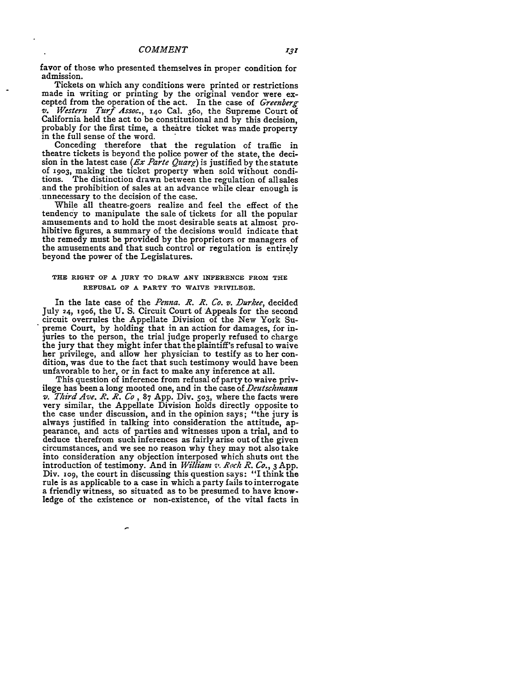favor of those who presented themselves in proper condition for admission.

Tickets on which any conditions were printed or restrictions made in writing or printing by the original vendor were excepted from the operation of the act. In the case of *Greenberg v. Western Turf Assoc.,* **140** Cal. **36o,** the Supreme Court of California held the act to be constitutional and by this decision, probably for the first time, a theatre ticket was made property in the full sense of the word.

Conceding therefore that the regulation of traffic in theatre tickets is beyond the police power of the state, the decision in the latest case *(Ex Parte Quarg)* is justified by the statute of **1903,** making the ticket property when sold without condi-The distinction drawn between the regulation of all sales and the prohibition of sales at an advance while clear enough is unnecessary to the decision of the case.

While all theatre-goers realize and feel the effect of the tendency to manipulate the sale of tickets for all the popular amusements and to hold the most desirable seats at almost prohibitive figures, a summary of the decisions would indicate that the remedy must be provided by the proprietors or managers of the amusements and that such control or regulation is entirely beyond the power of the Legislatures.

## **THE RIGHT OF A JURY TO DRAW ANY INFERENCE FROM THE REFUSAL OF A PARTY TO WAIVE PRIVILEGE.**

In the late case of the *Penna. R. R. Co. v. Durkee,* decided July **24,** 19o6, the **U.** S. Circuit Court of Appeals for the second circuit overrules the Appellate Division of the New York Supreme Court, by holding that in an action for damages, for injuries to the person, the trial judge properly refused to charge the jury that they might infer that the plaintiff's refusal to waive her privilege, and allow her physician to testify as to her condition, was due to the fact that such testimony would have been unfavorable to her, or in fact to make any inference at all.

This question of inference from refusal of party to waive privilege has been a long mooted one, and in the case of *Deutschmann v. Third Ave. R. R2. Co,* 87 App. Div. **503,** where the facts were very similar, the Appellate Division holds directly opposite to the case under discussion, and in the opinion says; "the jury is always justified in talking into consideration the attitude, appearance, and acts of parties and witnesses upon a trial, and to deduce therefrom such inferences as fairly arise out of the given circumstances, and we see no reason why they may not also take into consideration any objection interposed which shuts out the introduction of testimony. And in *William v. Roch R. Co.*, 3 App. Div. **og,** the court in discussing this question says: "I think the rule is as applicable to a case in which a party fails to interrogate a friendly witness, so situated as to be presumed to have knowledge of the existence or non-existence, of the vital facts in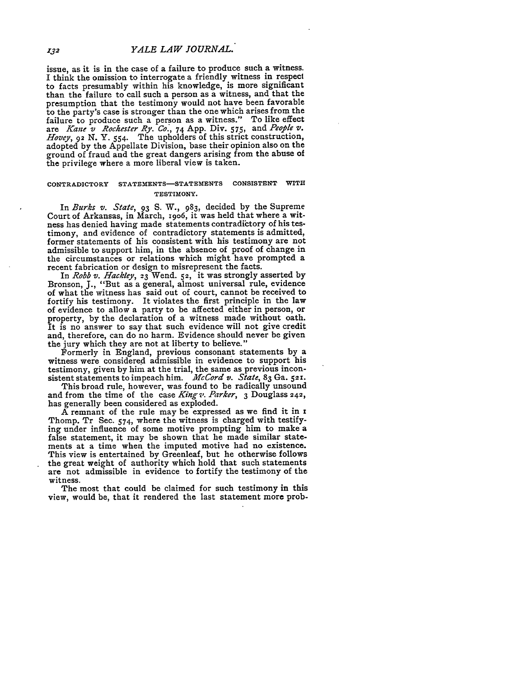issue, as it is in the case of a failure to produce such a witness. I think the omission to interrogate a friendly witness in respect to facts presumably within his knowledge, is more significant than the failure to call such a person as a witness, and that the presumption that the testimony would not have been favorable to the party's case is stronger than the one which arises from the failure to produce such a person as a witness." To like effect are *Kane v Rochester* **Ry.** *Co.,* 74 App. Div. 575, and *People v. Hovey,* 92 N. Y. 554. The upholders of this strict construction, adopted by the Appellate Division, base their opinion also on the ground of fraud and the great dangers arising from the abuse of the privilege where a more liberal view is taken.

## CONTRADICTORY **STATEMENTS-STATEMENTS CONSISTENT** WITH **TESTIMONY.**

In *Burks v. State, 93* S. W., **983,** decided by the Supreme Court of Arkansas, in March, I9o6, it was held that where a witness has denied having made statements contradictory of his tes. timony, and evidence of contradictory statements is admitted, former statements of his consistent with his testimony are not admissible to support him, in the absence of proof of change in the circumstances or relations which might have prompted a recent fabrication or design to misrepresent the facts.

In *Robb v. Hackley,* **23** Wend. **52,** it was strongly asserted by Bronson, J., "But as a general, almost universal rule, evidence of what the witness has said out of court, cannot be received to fortify his testimony. It violates the first principle in the law of evidence to allow a party to be affected either in person, or property, by the declaration of a witness made without oath. It is no answer to say that such evidence will not give credit and, therefore, can do no harm. Evidence should never be given the jury which they are not at liberty to believe."

Formerly in England, previous consonant statements by a witness were considered admissible in evidence to support his testimony, given by him at the trial, the same as previous inconsistent statements to impeach him. *ilfcCord v. State,* 83 Ga. **521.**

This broad rule, however, was found to be radically unsound and from the time of the case *King v. Parker*, 3 Douglass 242, has generally been considered as exploded.

A remnant of the rule may be expressed as we find it in x Thomp. Tr Sec. 574, where the witness is charged with testifying under influence of some motive prompting him to make a false statement, it may be shown that he made similar statements at a time when the imputed motive had no existence. This view is entertained by Greenleaf, but he otherwise follows the great weight of authority which hold that such statements are not admissible in evidence to fortify the testimony of the witness.

The most that could be claimed for such testimony in this view, would be, that it rendered the last statement more prob-

132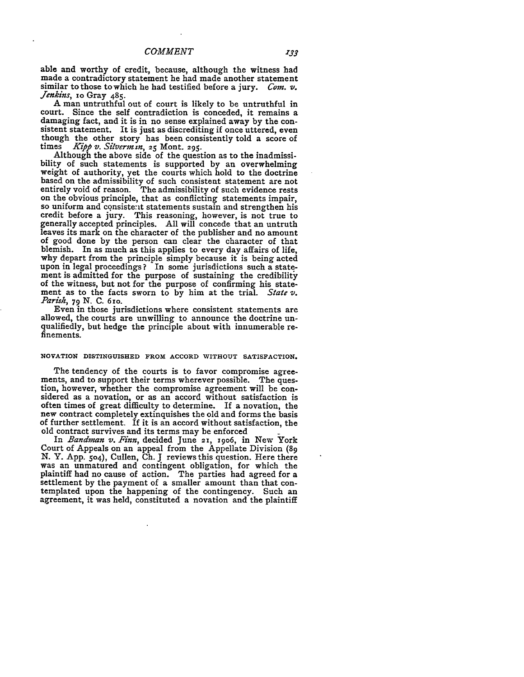able and worthy of credit, because, although the witness had made a contradictory statement he had made another statement similar to those to which he had testified before a jury. *Com. v.* Jenkins, 10 Gray 485.

A man untruthful out of court is likely to be untruthful in court. Since the self contradiction is conceded, it remains a damaging fact, and it is in no sense explained away **by** the consistent statement. It is just as discrediting if once uttered, even though the other story has been consistently told a score of<br>times  $\frac{Kibh\ v.$  Silverman 25 Mont 205 Kipp *v. Silvermin*, 25 Mont. 295.

Although the above side of the question as to the inadmissibility of such statements is supported **by** an overwhelming weight of authority, yet the courts which hold to the doctrine based on the admissibility of such consistent statement are not entirely void of reason. The admissibility of such evidence rests on the obvious principle, that as conflicting statements impair, so uniform and cqnsiste:it statements sustain and strengthen his credit before a jury. This reasoning, however, is not true to generally accepted principles. All will concede that an untruth leaves its mark on the character of the publisher and no amount of good done **by** the person can clear the character of that blemish. In as much as this applies to every day affairs of life, why depart from the principle simply because it is being acted upon in legal proceedings? In some jurisdictions such a statement is admitted for the purpose of sustaining the credibility of the witness, but not for the purpose of confirming his statement as to the facts sworn to **by** him at the trial. *State v. Parish, 79* **N. C.** 61o.

Even in those jurisdictions where consistent statements are allowed, the courts are unwilling to announce the doctrine unqualifiedly, but hedge the principle about with innumerable refinements.

NOVATION DISTINGUISHED FROM ACCORD WITHOUT SATISFACTION.

The tendency of the courts is to favor compromise agreements, and to support their terms wherever possible. The ques-<br>tion, however, whether the compromise agreement will be considered as a novation, or as an accord without satisfaction is often times of great difficulty to determine. If a novation, the new contract completely extinquishes the old and forms the basis of further settlement. If it is an accord without satisfaction, the old contract survives and its terms may be enforced

In *Bandman v. Finn*, decided June 21, 1906, in New York Court of Appeals on an appeal from the Appellate Division (89 N. Y. App. 504), Cullen, **Ch.** J reviews this question. Here there was an unmatured and contingent obligation, for which the plaintiff had no cause of action. The parties had agreed for a settlement by the payment of a smaller amount than that contemplated upon the happening of the contingency. Such an agreement, it was held, constituted a novation and the plaintiff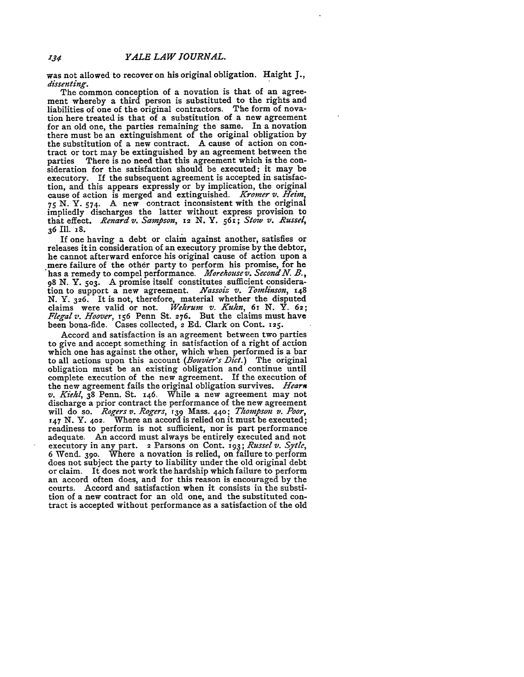was not allowed to recover on his original obligation. Haight **J.,** *dissenting.*

The common conception of a novation is that of an agreement whereby a third person is substituted to the rights and liabilities of one of the original contractors. The form of novation here treated is that of a substitution of a new agreement for an old one, the parties remaining the same. In a novation there must be an extinguishment of the original obligation by the substitution of a new contract. A cause of action on contract or tort may be extinguished **by** an agreement between the parties There is no need that this agreement which is the consideration for the satisfaction should be executed; it may be executory. If the subsequent agreement is accepted in satisfaction, and this appears expressly or by implication, the original cause of action is merged and extinguished. *Kromer v. Heim,* **75** N. **Y.** 574. A new contract inconsistent with the original impliedly discharges the latter without express provision to that effect. *Renard v. Sampson, 12* **N.** Y. **561;** *Stow v. Russel,* 36 Ill. 18.

If one having a debt or claim against another, satisfies or releases it in consideration of an executory promise **by** the debtor, he cannot afterward enforce his original cause of action upon a mere failure of the other party to perform his promise, for he has a remedy to compel performance. *Morehouse v. Second N. B.,* 98 N. Y. **503.** A promise itself constitutes sufficient consideration to support a new agreement. *Nassoiz v. Tomlinson,* <sup>148</sup> N. **Y. 326.** It is not, therefore, material whether the disputed claims were valid or not. *Wehrum v. Kuhn, 61* N. Y. **62;** *Flegal v. Hoover,* **156** Penn St. **276.** But the claims must have been bona-fide. Cases collected, 2 **Ed.** Clark on Cont. **125.**

Accord and satisfaction is an agreement between two parties to give and accept something in satisfaction of a right of action which one has against the other, which when performed is a bar to all actions upon this account *(Bouvier's Dict.)* The original obligation must be an existing obligation and continue until complete execution of the new agreement. If the execution of the new agreement fails the original obligation survives. *Hearn v. Kiehl,* 38 Penn. St. 146. While a new agreement may not discharge a prior contract the performance of the new agreement will do so. *Rogers v. Rogers,* **139** Mass. **440;** *Thompson v. Poor,* 147 N. Y. 402. Where an accord is relied on it must be executed readiness to perform is not sufficient, nor is part performance adequate. An accord must always be entirely executed and not executory in any part. **2** Parsons on Cont. **193;** *Russel v. Sytle,* 6 Wend. 390. Where a novation is relied, on failure to perform does not subject the party to liability under the old original debt or claim. It does not work the hardship which failure to perform an accord often does, and for this reason is encouraged by the courts. Accord and satisfaction when it consists in the substition of a new contract for an old one, and the substituted contract is accepted without performance as a satisfaction of the old

134